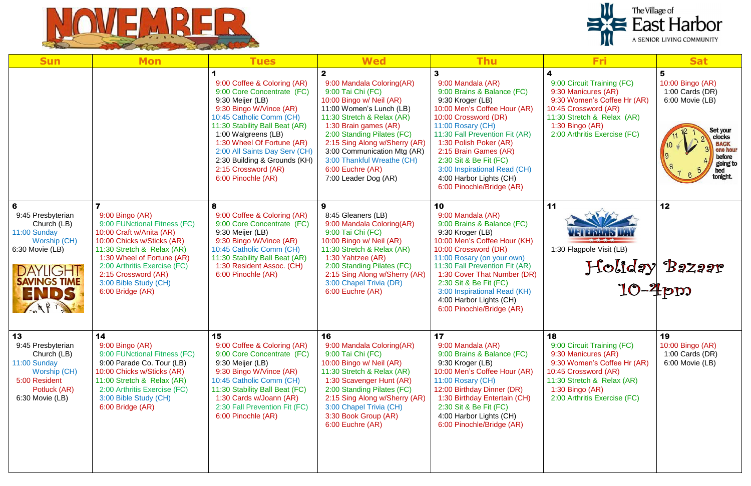



| <b>Sun</b>                                                                                                                                          | <b>Mon</b>                                                                                                                                                                                                                                                                | <b>Tues</b>                                                                                                                                                                                                                                                                                                                               | <b>Wed</b>                                                                                                                                                                                                                                                                                                                                            | <b>Thu</b>                                                                                                                                                                                                                                                                                                                                                   | <b>Fri</b>                                                                                                                                                                                        | <b>Sat</b>                                                    |
|-----------------------------------------------------------------------------------------------------------------------------------------------------|---------------------------------------------------------------------------------------------------------------------------------------------------------------------------------------------------------------------------------------------------------------------------|-------------------------------------------------------------------------------------------------------------------------------------------------------------------------------------------------------------------------------------------------------------------------------------------------------------------------------------------|-------------------------------------------------------------------------------------------------------------------------------------------------------------------------------------------------------------------------------------------------------------------------------------------------------------------------------------------------------|--------------------------------------------------------------------------------------------------------------------------------------------------------------------------------------------------------------------------------------------------------------------------------------------------------------------------------------------------------------|---------------------------------------------------------------------------------------------------------------------------------------------------------------------------------------------------|---------------------------------------------------------------|
|                                                                                                                                                     |                                                                                                                                                                                                                                                                           | 9:00 Coffee & Coloring (AR)<br>9:00 Core Concentrate (FC)<br>9:30 Meijer (LB)<br>9:30 Bingo W/Vince (AR)<br>10:45 Catholic Comm (CH)<br>11:30 Stability Ball Beat (AR)<br>1:00 Walgreens (LB)<br>1:30 Wheel Of Fortune (AR)<br>2:00 All Saints Day Serv (CH)<br>2:30 Building & Grounds (KH)<br>2:15 Crossword (AR)<br>6:00 Pinochle (AR) | $\mathbf{2}$<br>9:00 Mandala Coloring(AR)<br>9:00 Tai Chi (FC)<br>10:00 Bingo w/ Neil (AR)<br>11:00 Women's Lunch (LB)<br>11:30 Stretch & Relax (AR)<br>1:30 Brain games (AR)<br>2:00 Standing Pilates (FC)<br>2:15 Sing Along w/Sherry (AR)<br>3:00 Communication Mtg (AR)<br>3:00 Thankful Wreathe (CH)<br>6:00 Euchre (AR)<br>7:00 Leader Dog (AR) | 3<br>9:00 Mandala (AR)<br>9:00 Brains & Balance (FC)<br>9:30 Kroger (LB)<br>10:00 Men's Coffee Hour (AR)<br>10:00 Crossword (DR)<br>11:00 Rosary (CH)<br>11:30 Fall Prevention Fit (AR)<br>1:30 Polish Poker (AR)<br>2:15 Brain Games (AR)<br>2:30 Sit & Be Fit (FC)<br>3:00 Inspirational Read (CH)<br>4:00 Harbor Lights (CH)<br>6:00 Pinochle/Bridge (AR) | 4<br>9:00 Circuit Training (FC)<br>9:30 Manicures (AR)<br>9:30 Women's Coffee Hr (AR)<br>10:45 Crossword (AR)<br>11:30 Stretch & Relax (AR)<br>1:30 Bingo $(AR)$<br>2:00 Arthritis Exercise (FC)  | 10:00 Bingo (AR)<br>1:00 Cards (DR)<br>6:00 Movie (LB)<br>Set |
| 6<br>9:45 Presbyterian<br>Church (LB)<br>11:00 Sunday<br>Worship (CH)<br>6:30 Movie (LB)<br><b>DAYLIGHT</b><br><b>SAVINGS TIME</b><br>ENDS<br>ANP P | 9:00 Bingo (AR)<br>9:00 FUNctional Fitness (FC)<br>10:00 Craft w/Anita (AR)<br>10:00 Chicks w/Sticks (AR)<br>11:30 Stretch & Relax (AR)<br>1:30 Wheel of Fortune (AR)<br>2:00 Arthritis Exercise (FC)<br>2:15 Crossword (AR)<br>3:00 Bible Study (CH)<br>6:00 Bridge (AR) | 8<br>9:00 Coffee & Coloring (AR)<br>9:00 Core Concentrate (FC)<br>9:30 Meijer (LB)<br>9:30 Bingo W/Vince (AR)<br>10:45 Catholic Comm (CH)<br>11:30 Stability Ball Beat (AR)<br>1:30 Resident Assoc. (CH)<br>6:00 Pinochle (AR)                                                                                                            | 9<br>8:45 Gleaners (LB)<br>9:00 Mandala Coloring(AR)<br>9:00 Tai Chi (FC)<br>10:00 Bingo w/ Neil (AR)<br>11:30 Stretch & Relax (AR)<br>1:30 Yahtzee (AR)<br>2:00 Standing Pilates (FC)<br>2:15 Sing Along w/Sherry (AR)<br>3:00 Chapel Trivia (DR)<br>6:00 Euchre (AR)                                                                                | 10<br>9:00 Mandala (AR)<br>9:00 Brains & Balance (FC)<br>9:30 Kroger (LB)<br>10:00 Men's Coffee Hour (KH)<br>10:00 Crossword (DR)<br>11:00 Rosary (on your own)<br>11:30 Fall Prevention Fit (AR)<br>1:30 Cover That Number (DR)<br>2:30 Sit & Be Fit (FC)<br>3:00 Inspirational Read (KH)<br>4:00 Harbor Lights (CH)<br>6:00 Pinochle/Bridge (AR)           | 11<br>1:30 Flagpole Visit (LB)<br>Holiday Bazaa                                                                                                                                                   | 12                                                            |
| 13<br>9:45 Presbyterian<br>Church (LB)<br>11:00 Sunday<br>Worship (CH)<br>5:00 Resident<br>Potluck (AR)<br>6:30 Movie (LB)                          | 14<br>9:00 Bingo (AR)<br>9:00 FUNctional Fitness (FC)<br>9:00 Parade Co. Tour (LB)<br>10:00 Chicks w/Sticks (AR)<br>11:00 Stretch & Relax (AR)<br>2:00 Arthritis Exercise (FC)<br>3:00 Bible Study (CH)<br>6:00 Bridge (AR)                                               | 15<br>9:00 Coffee & Coloring (AR)<br>9:00 Core Concentrate (FC)<br>9:30 Meijer (LB)<br>9:30 Bingo W/Vince (AR)<br>10:45 Catholic Comm (CH)<br>11:30 Stability Ball Beat (FC)<br>1:30 Cards w/Joann (AR)<br>2:30 Fall Prevention Fit (FC)<br>6:00 Pinochle (AR)                                                                            | 16<br>9:00 Mandala Coloring(AR)<br>9:00 Tai Chi (FC)<br>10:00 Bingo w/ Neil (AR)<br>11:30 Stretch & Relax (AR)<br>1:30 Scavenger Hunt (AR)<br>2:00 Standing Pilates (FC)<br>2:15 Sing Along w/Sherry (AR)<br>3:00 Chapel Trivia (CH)<br>3:30 Book Group (AR)<br>6:00 Euchre (AR)                                                                      | 17<br>9:00 Mandala (AR)<br>9:00 Brains & Balance (FC)<br>9:30 Kroger (LB)<br>10:00 Men's Coffee Hour (AR)<br>11:00 Rosary (CH)<br>12:00 Birthday Dinner (DR)<br>1:30 Birthday Entertain (CH)<br>2:30 Sit & Be Fit (FC)<br>4:00 Harbor Lights (CH)<br>6:00 Pinochle/Bridge (AR)                                                                               | 18<br>9:00 Circuit Training (FC)<br>9:30 Manicures (AR)<br>9:30 Women's Coffee Hr (AR)<br>10:45 Crossword (AR)<br>11:30 Stretch & Relax (AR)<br>1:30 Bingo $(AR)$<br>2:00 Arthritis Exercise (FC) | 19<br>10:00 Bingo (AR)<br>1:00 Cards (DR)<br>6:00 Movie (LB)  |